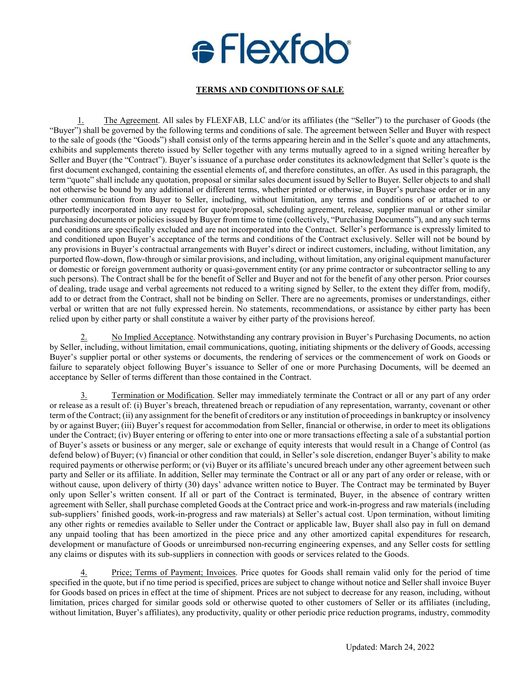## **e** Flexfob

## **TERMS AND CONDITIONS OF SALE**

1. The Agreement. All sales by FLEXFAB, LLC and/or its affiliates (the "Seller") to the purchaser of Goods (the "Buyer") shall be governed by the following terms and conditions of sale. The agreement between Seller and Buyer with respect to the sale of goods (the "Goods") shall consist only of the terms appearing herein and in the Seller's quote and any attachments, exhibits and supplements thereto issued by Seller together with any terms mutually agreed to in a signed writing hereafter by Seller and Buyer (the "Contract"). Buyer's issuance of a purchase order constitutes its acknowledgment that Seller's quote is the first document exchanged, containing the essential elements of, and therefore constitutes, an offer. As used in this paragraph, the term "quote" shall include any quotation, proposal or similar sales document issued by Seller to Buyer. Seller objects to and shall not otherwise be bound by any additional or different terms, whether printed or otherwise, in Buyer's purchase order or in any other communication from Buyer to Seller, including, without limitation, any terms and conditions of or attached to or purportedly incorporated into any request for quote/proposal, scheduling agreement, release, supplier manual or other similar purchasing documents or policies issued by Buyer from time to time (collectively, "Purchasing Documents"), and any such terms and conditions are specifically excluded and are not incorporated into the Contract. Seller's performance is expressly limited to and conditioned upon Buyer's acceptance of the terms and conditions of the Contract exclusively. Seller will not be bound by any provisions in Buyer's contractual arrangements with Buyer's direct or indirect customers, including, without limitation, any purported flow-down, flow-through or similar provisions, and including, without limitation, any original equipment manufacturer or domestic or foreign government authority or quasi-government entity (or any prime contractor or subcontractor selling to any such persons). The Contract shall be for the benefit of Seller and Buyer and not for the benefit of any other person. Prior courses of dealing, trade usage and verbal agreements not reduced to a writing signed by Seller, to the extent they differ from, modify, add to or detract from the Contract, shall not be binding on Seller. There are no agreements, promises or understandings, either verbal or written that are not fully expressed herein. No statements, recommendations, or assistance by either party has been relied upon by either party or shall constitute a waiver by either party of the provisions hereof.

2. No Implied Acceptance. Notwithstanding any contrary provision in Buyer's Purchasing Documents, no action by Seller, including, without limitation, email communications, quoting, initiating shipments or the delivery of Goods, accessing Buyer's supplier portal or other systems or documents, the rendering of services or the commencement of work on Goods or failure to separately object following Buyer's issuance to Seller of one or more Purchasing Documents, will be deemed an acceptance by Seller of terms different than those contained in the Contract.

3. Termination or Modification. Seller may immediately terminate the Contract or all or any part of any order or release as a result of: (i) Buyer's breach, threatened breach or repudiation of any representation, warranty, covenant or other term of the Contract; (ii) any assignment for the benefit of creditors or any institution of proceedings in bankruptcy or insolvency by or against Buyer; (iii) Buyer's request for accommodation from Seller, financial or otherwise, in order to meet its obligations under the Contract; (iv) Buyer entering or offering to enter into one or more transactions effecting a sale of a substantial portion of Buyer's assets or business or any merger, sale or exchange of equity interests that would result in a Change of Control (as defend below) of Buyer; (v) financial or other condition that could, in Seller's sole discretion, endanger Buyer's ability to make required payments or otherwise perform; or (vi) Buyer or its affiliate's uncured breach under any other agreement between such party and Seller or its affiliate. In addition, Seller may terminate the Contract or all or any part of any order or release, with or without cause, upon delivery of thirty (30) days' advance written notice to Buyer. The Contract may be terminated by Buyer only upon Seller's written consent. If all or part of the Contract is terminated, Buyer, in the absence of contrary written agreement with Seller, shall purchase completed Goods at the Contract price and work-in-progress and raw materials (including sub-suppliers' finished goods, work-in-progress and raw materials) at Seller's actual cost. Upon termination, without limiting any other rights or remedies available to Seller under the Contract or applicable law, Buyer shall also pay in full on demand any unpaid tooling that has been amortized in the piece price and any other amortized capital expenditures for research, development or manufacture of Goods or unreimbursed non-recurring engineering expenses, and any Seller costs for settling any claims or disputes with its sub-suppliers in connection with goods or services related to the Goods.

Price; Terms of Payment; Invoices. Price quotes for Goods shall remain valid only for the period of time specified in the quote, but if no time period is specified, prices are subject to change without notice and Seller shall invoice Buyer for Goods based on prices in effect at the time of shipment. Prices are not subject to decrease for any reason, including, without limitation, prices charged for similar goods sold or otherwise quoted to other customers of Seller or its affiliates (including, without limitation, Buyer's affiliates), any productivity, quality or other periodic price reduction programs, industry, commodity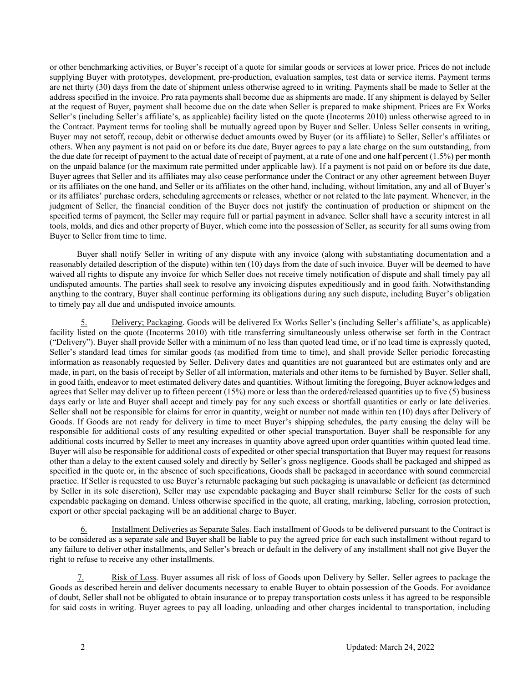or other benchmarking activities, or Buyer's receipt of a quote for similar goods or services at lower price. Prices do not include supplying Buyer with prototypes, development, pre-production, evaluation samples, test data or service items. Payment terms are net thirty (30) days from the date of shipment unless otherwise agreed to in writing. Payments shall be made to Seller at the address specified in the invoice. Pro rata payments shall become due as shipments are made. If any shipment is delayed by Seller at the request of Buyer, payment shall become due on the date when Seller is prepared to make shipment. Prices are Ex Works Seller's (including Seller's affiliate's, as applicable) facility listed on the quote (Incoterms 2010) unless otherwise agreed to in the Contract. Payment terms for tooling shall be mutually agreed upon by Buyer and Seller. Unless Seller consents in writing, Buyer may not setoff, recoup, debit or otherwise deduct amounts owed by Buyer (or its affiliate) to Seller, Seller's affiliates or others. When any payment is not paid on or before its due date, Buyer agrees to pay a late charge on the sum outstanding, from the due date for receipt of payment to the actual date of receipt of payment, at a rate of one and one half percent (1.5%) per month on the unpaid balance (or the maximum rate permitted under applicable law). If a payment is not paid on or before its due date, Buyer agrees that Seller and its affiliates may also cease performance under the Contract or any other agreement between Buyer or its affiliates on the one hand, and Seller or its affiliates on the other hand, including, without limitation, any and all of Buyer's or its affiliates' purchase orders, scheduling agreements or releases, whether or not related to the late payment. Whenever, in the judgment of Seller, the financial condition of the Buyer does not justify the continuation of production or shipment on the specified terms of payment, the Seller may require full or partial payment in advance. Seller shall have a security interest in all tools, molds, and dies and other property of Buyer, which come into the possession of Seller, as security for all sums owing from Buyer to Seller from time to time.

Buyer shall notify Seller in writing of any dispute with any invoice (along with substantiating documentation and a reasonably detailed description of the dispute) within ten (10) days from the date of such invoice. Buyer will be deemed to have waived all rights to dispute any invoice for which Seller does not receive timely notification of dispute and shall timely pay all undisputed amounts. The parties shall seek to resolve any invoicing disputes expeditiously and in good faith. Notwithstanding anything to the contrary, Buyer shall continue performing its obligations during any such dispute, including Buyer's obligation to timely pay all due and undisputed invoice amounts.

5. Delivery; Packaging. Goods will be delivered Ex Works Seller's (including Seller's affiliate's, as applicable) facility listed on the quote (Incoterms 2010) with title transferring simultaneously unless otherwise set forth in the Contract ("Delivery"). Buyer shall provide Seller with a minimum of no less than quoted lead time, or if no lead time is expressly quoted, Seller's standard lead times for similar goods (as modified from time to time), and shall provide Seller periodic forecasting information as reasonably requested by Seller. Delivery dates and quantities are not guaranteed but are estimates only and are made, in part, on the basis of receipt by Seller of all information, materials and other items to be furnished by Buyer. Seller shall, in good faith, endeavor to meet estimated delivery dates and quantities. Without limiting the foregoing, Buyer acknowledges and agrees that Seller may deliver up to fifteen percent (15%) more or less than the ordered/released quantities up to five (5) business days early or late and Buyer shall accept and timely pay for any such excess or shortfall quantities or early or late deliveries. Seller shall not be responsible for claims for error in quantity, weight or number not made within ten (10) days after Delivery of Goods. If Goods are not ready for delivery in time to meet Buyer's shipping schedules, the party causing the delay will be responsible for additional costs of any resulting expedited or other special transportation. Buyer shall be responsible for any additional costs incurred by Seller to meet any increases in quantity above agreed upon order quantities within quoted lead time. Buyer will also be responsible for additional costs of expedited or other special transportation that Buyer may request for reasons other than a delay to the extent caused solely and directly by Seller's gross negligence. Goods shall be packaged and shipped as specified in the quote or, in the absence of such specifications, Goods shall be packaged in accordance with sound commercial practice. If Seller is requested to use Buyer's returnable packaging but such packaging is unavailable or deficient (as determined by Seller in its sole discretion), Seller may use expendable packaging and Buyer shall reimburse Seller for the costs of such expendable packaging on demand. Unless otherwise specified in the quote, all crating, marking, labeling, corrosion protection, export or other special packaging will be an additional charge to Buyer.

6. Installment Deliveries as Separate Sales. Each installment of Goods to be delivered pursuant to the Contract is to be considered as a separate sale and Buyer shall be liable to pay the agreed price for each such installment without regard to any failure to deliver other installments, and Seller's breach or default in the delivery of any installment shall not give Buyer the right to refuse to receive any other installments.

Risk of Loss. Buyer assumes all risk of loss of Goods upon Delivery by Seller. Seller agrees to package the Goods as described herein and deliver documents necessary to enable Buyer to obtain possession of the Goods. For avoidance of doubt, Seller shall not be obligated to obtain insurance or to prepay transportation costs unless it has agreed to be responsible for said costs in writing. Buyer agrees to pay all loading, unloading and other charges incidental to transportation, including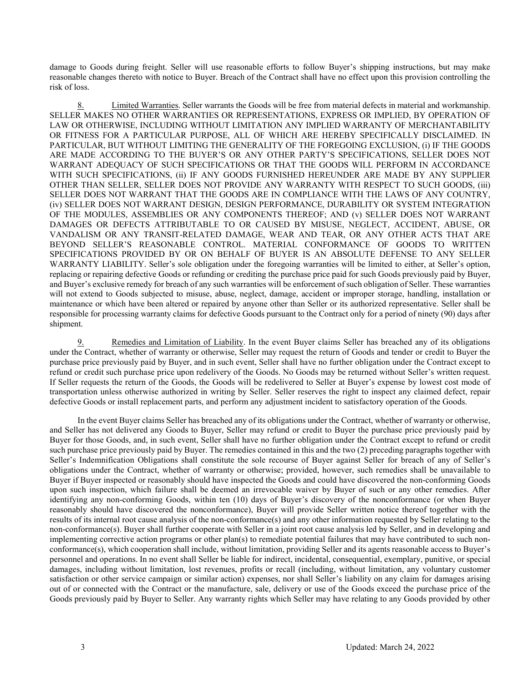damage to Goods during freight. Seller will use reasonable efforts to follow Buyer's shipping instructions, but may make reasonable changes thereto with notice to Buyer. Breach of the Contract shall have no effect upon this provision controlling the risk of loss.

8. Limited Warranties. Seller warrants the Goods will be free from material defects in material and workmanship. SELLER MAKES NO OTHER WARRANTIES OR REPRESENTATIONS, EXPRESS OR IMPLIED, BY OPERATION OF LAW OR OTHERWISE, INCLUDING WITHOUT LIMITATION ANY IMPLIED WARRANTY OF MERCHANTABILITY OR FITNESS FOR A PARTICULAR PURPOSE, ALL OF WHICH ARE HEREBY SPECIFICALLY DISCLAIMED. IN PARTICULAR, BUT WITHOUT LIMITING THE GENERALITY OF THE FOREGOING EXCLUSION, (i) IF THE GOODS ARE MADE ACCORDING TO THE BUYER'S OR ANY OTHER PARTY'S SPECIFICATIONS, SELLER DOES NOT WARRANT ADEQUACY OF SUCH SPECIFICATIONS OR THAT THE GOODS WILL PERFORM IN ACCORDANCE WITH SUCH SPECIFICATIONS, (ii) IF ANY GOODS FURNISHED HEREUNDER ARE MADE BY ANY SUPPLIER OTHER THAN SELLER, SELLER DOES NOT PROVIDE ANY WARRANTY WITH RESPECT TO SUCH GOODS, (iii) SELLER DOES NOT WARRANT THAT THE GOODS ARE IN COMPLIANCE WITH THE LAWS OF ANY COUNTRY, (iv) SELLER DOES NOT WARRANT DESIGN, DESIGN PERFORMANCE, DURABILITY OR SYSTEM INTEGRATION OF THE MODULES, ASSEMBLIES OR ANY COMPONENTS THEREOF; AND (v) SELLER DOES NOT WARRANT DAMAGES OR DEFECTS ATTRIBUTABLE TO OR CAUSED BY MISUSE, NEGLECT, ACCIDENT, ABUSE, OR VANDALISM OR ANY TRANSIT-RELATED DAMAGE, WEAR AND TEAR, OR ANY OTHER ACTS THAT ARE BEYOND SELLER'S REASONABLE CONTROL. MATERIAL CONFORMANCE OF GOODS TO WRITTEN SPECIFICATIONS PROVIDED BY OR ON BEHALF OF BUYER IS AN ABSOLUTE DEFENSE TO ANY SELLER WARRANTY LIABILITY. Seller's sole obligation under the foregoing warranties will be limited to either, at Seller's option, replacing or repairing defective Goods or refunding or crediting the purchase price paid for such Goods previously paid by Buyer, and Buyer's exclusive remedy for breach of any such warranties will be enforcement of such obligation of Seller. These warranties will not extend to Goods subjected to misuse, abuse, neglect, damage, accident or improper storage, handling, installation or maintenance or which have been altered or repaired by anyone other than Seller or its authorized representative. Seller shall be responsible for processing warranty claims for defective Goods pursuant to the Contract only for a period of ninety (90) days after shipment.

9. Remedies and Limitation of Liability. In the event Buyer claims Seller has breached any of its obligations under the Contract, whether of warranty or otherwise, Seller may request the return of Goods and tender or credit to Buyer the purchase price previously paid by Buyer, and in such event, Seller shall have no further obligation under the Contract except to refund or credit such purchase price upon redelivery of the Goods. No Goods may be returned without Seller's written request. If Seller requests the return of the Goods, the Goods will be redelivered to Seller at Buyer's expense by lowest cost mode of transportation unless otherwise authorized in writing by Seller. Seller reserves the right to inspect any claimed defect, repair defective Goods or install replacement parts, and perform any adjustment incident to satisfactory operation of the Goods.

In the event Buyer claims Seller has breached any of its obligations under the Contract, whether of warranty or otherwise, and Seller has not delivered any Goods to Buyer, Seller may refund or credit to Buyer the purchase price previously paid by Buyer for those Goods, and, in such event, Seller shall have no further obligation under the Contract except to refund or credit such purchase price previously paid by Buyer. The remedies contained in this and the two (2) preceding paragraphs together with Seller's Indemnification Obligations shall constitute the sole recourse of Buyer against Seller for breach of any of Seller's obligations under the Contract, whether of warranty or otherwise; provided, however, such remedies shall be unavailable to Buyer if Buyer inspected or reasonably should have inspected the Goods and could have discovered the non-conforming Goods upon such inspection, which failure shall be deemed an irrevocable waiver by Buyer of such or any other remedies. After identifying any non-conforming Goods, within ten (10) days of Buyer's discovery of the nonconformance (or when Buyer reasonably should have discovered the nonconformance), Buyer will provide Seller written notice thereof together with the results of its internal root cause analysis of the non-conformance(s) and any other information requested by Seller relating to the non-conformance(s). Buyer shall further cooperate with Seller in a joint root cause analysis led by Seller, and in developing and implementing corrective action programs or other plan(s) to remediate potential failures that may have contributed to such nonconformance(s), which cooperation shall include, without limitation, providing Seller and its agents reasonable access to Buyer's personnel and operations. In no event shall Seller be liable for indirect, incidental, consequential, exemplary, punitive, or special damages, including without limitation, lost revenues, profits or recall (including, without limitation, any voluntary customer satisfaction or other service campaign or similar action) expenses, nor shall Seller's liability on any claim for damages arising out of or connected with the Contract or the manufacture, sale, delivery or use of the Goods exceed the purchase price of the Goods previously paid by Buyer to Seller. Any warranty rights which Seller may have relating to any Goods provided by other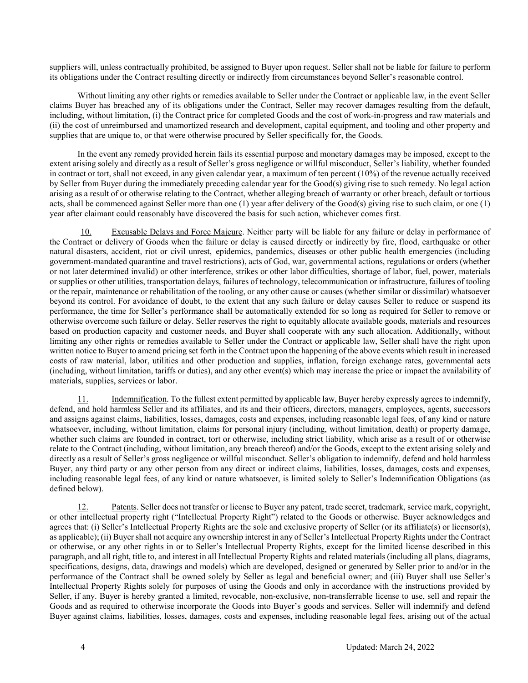suppliers will, unless contractually prohibited, be assigned to Buyer upon request. Seller shall not be liable for failure to perform its obligations under the Contract resulting directly or indirectly from circumstances beyond Seller's reasonable control.

Without limiting any other rights or remedies available to Seller under the Contract or applicable law, in the event Seller claims Buyer has breached any of its obligations under the Contract, Seller may recover damages resulting from the default, including, without limitation, (i) the Contract price for completed Goods and the cost of work-in-progress and raw materials and (ii) the cost of unreimbursed and unamortized research and development, capital equipment, and tooling and other property and supplies that are unique to, or that were otherwise procured by Seller specifically for, the Goods.

In the event any remedy provided herein fails its essential purpose and monetary damages may be imposed, except to the extent arising solely and directly as a result of Seller's gross negligence or willful misconduct, Seller's liability, whether founded in contract or tort, shall not exceed, in any given calendar year, a maximum of ten percent (10%) of the revenue actually received by Seller from Buyer during the immediately preceding calendar year for the Good(s) giving rise to such remedy. No legal action arising as a result of or otherwise relating to the Contract, whether alleging breach of warranty or other breach, default or tortious acts, shall be commenced against Seller more than one (1) year after delivery of the Good(s) giving rise to such claim, or one (1) year after claimant could reasonably have discovered the basis for such action, whichever comes first.

Excusable Delays and Force Majeure. Neither party will be liable for any failure or delay in performance of the Contract or delivery of Goods when the failure or delay is caused directly or indirectly by fire, flood, earthquake or other natural disasters, accident, riot or civil unrest, epidemics, pandemics, diseases or other public health emergencies (including government-mandated quarantine and travel restrictions), acts of God, war, governmental actions, regulations or orders (whether or not later determined invalid) or other interference, strikes or other labor difficulties, shortage of labor, fuel, power, materials or supplies or other utilities, transportation delays, failures of technology, telecommunication or infrastructure, failures of tooling or the repair, maintenance or rehabilitation of the tooling, or any other cause or causes (whether similar or dissimilar) whatsoever beyond its control. For avoidance of doubt, to the extent that any such failure or delay causes Seller to reduce or suspend its performance, the time for Seller's performance shall be automatically extended for so long as required for Seller to remove or otherwise overcome such failure or delay. Seller reserves the right to equitably allocate available goods, materials and resources based on production capacity and customer needs, and Buyer shall cooperate with any such allocation. Additionally, without limiting any other rights or remedies available to Seller under the Contract or applicable law, Seller shall have the right upon written notice to Buyer to amend pricing set forth in the Contract upon the happening of the above events which result in increased costs of raw material, labor, utilities and other production and supplies, inflation, foreign exchange rates, governmental acts (including, without limitation, tariffs or duties), and any other event(s) which may increase the price or impact the availability of materials, supplies, services or labor.

11. Indemnification. To the fullest extent permitted by applicable law, Buyer hereby expressly agrees to indemnify, defend, and hold harmless Seller and its affiliates, and its and their officers, directors, managers, employees, agents, successors and assigns against claims, liabilities, losses, damages, costs and expenses, including reasonable legal fees, of any kind or nature whatsoever, including, without limitation, claims for personal injury (including, without limitation, death) or property damage, whether such claims are founded in contract, tort or otherwise, including strict liability, which arise as a result of or otherwise relate to the Contract (including, without limitation, any breach thereof) and/or the Goods, except to the extent arising solely and directly as a result of Seller's gross negligence or willful misconduct. Seller's obligation to indemnify, defend and hold harmless Buyer, any third party or any other person from any direct or indirect claims, liabilities, losses, damages, costs and expenses, including reasonable legal fees, of any kind or nature whatsoever, is limited solely to Seller's Indemnification Obligations (as defined below).

12. Patents. Seller does not transfer or license to Buyer any patent, trade secret, trademark, service mark, copyright, or other intellectual property right ("Intellectual Property Right") related to the Goods or otherwise. Buyer acknowledges and agrees that: (i) Seller's Intellectual Property Rights are the sole and exclusive property of Seller (or its affiliate(s) or licensor(s), as applicable); (ii) Buyer shall not acquire any ownership interest in any of Seller's Intellectual Property Rights under the Contract or otherwise, or any other rights in or to Seller's Intellectual Property Rights, except for the limited license described in this paragraph, and all right, title to, and interest in all Intellectual Property Rights and related materials (including all plans, diagrams, specifications, designs, data, drawings and models) which are developed, designed or generated by Seller prior to and/or in the performance of the Contract shall be owned solely by Seller as legal and beneficial owner; and (iii) Buyer shall use Seller's Intellectual Property Rights solely for purposes of using the Goods and only in accordance with the instructions provided by Seller, if any. Buyer is hereby granted a limited, revocable, non-exclusive, non-transferrable license to use, sell and repair the Goods and as required to otherwise incorporate the Goods into Buyer's goods and services. Seller will indemnify and defend Buyer against claims, liabilities, losses, damages, costs and expenses, including reasonable legal fees, arising out of the actual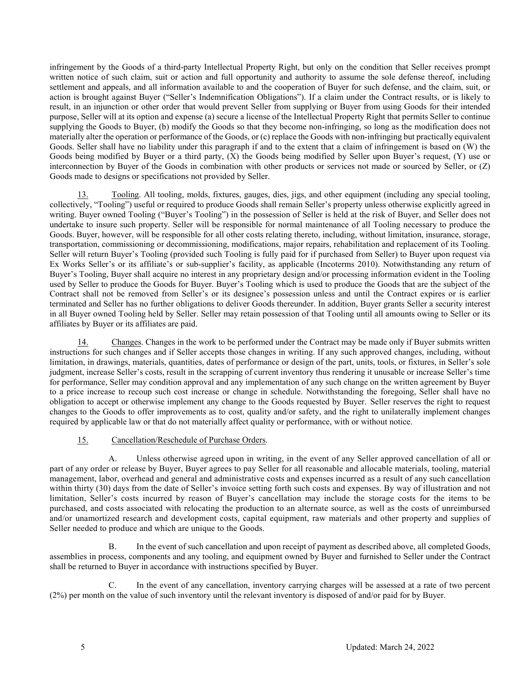infringement by the Goods of a third-party Intellectual Property Right, but only on the condition that Seller receives prompt written notice of such claim, suit or action and full opportunity and authority to assume the sole defense thereof, including settlement and appeals, and all information available to and the cooperation of Buyer for such defense, and the claim, suit, or action is brought against Buyer ("Seller's Indemnification Obligations"). If a claim under the Contract results, or is likely to result, in an injunction or other order that would prevent Seller from supplying or Buyer from using Goods for their intended purpose, Seller will at its option and expense (a) secure a license of the Intellectual Property Right that permits Seller to continue supplying the Goods to Buyer, (b) modify the Goods so that they become non-infringing, so long as the modification does not materially alter the operation or performance of the Goods, or (c) replace the Goods with non-infringing but practically equivalent Goods. Seller shall have no liability under this paragraph if and to the extent that a claim of infringement is based on (W) the Goods being modified by Buyer or a third party, (X) the Goods being modified by Seller upon Buyer's request, (Y) use or interconnection by Buyer of the Goods in combination with other products or services not made or sourced by Seller, or (Z) Goods made to designs or specifications not provided by Seller.

Tooling. All tooling, molds, fixtures, gauges, dies, jigs, and other equipment (including any special tooling, collectively, "Tooling") useful or required to produce Goods shall remain Seller's property unless otherwise explicitly agreed in writing. Buyer owned Tooling ("Buyer's Tooling") in the possession of Seller is held at the risk of Buyer, and Seller does not undertake to insure such property. Seller will be responsible for normal maintenance of all Tooling necessary to produce the Goods. Buyer, however, will be responsible for all other costs relating thereto, including, without limitation, insurance, storage, transportation, commissioning or decommissioning, modifications, major repairs, rehabilitation and replacement of its Tooling. Seller will return Buyer's Tooling (provided such Tooling is fully paid for if purchased from Seller) to Buyer upon request via Ex Works Seller's or its affiliate's or sub-supplier's facility, as applicable (Incoterms 2010). Notwithstanding any return of Buyer's Tooling, Buyer shall acquire no interest in any proprietary design and/or processing information evident in the Tooling used by Seller to produce the Goods for Buyer. Buyer's Tooling which is used to produce the Goods that are the subject of the Contract shall not be removed from Seller's or its designee's possession unless and until the Contract expires or is earlier terminated and Seller has no further obligations to deliver Goods thereunder. In addition, Buyer grants Seller a security interest in all Buyer owned Tooling held by Seller. Seller may retain possession of that Tooling until all amounts owing to Seller or its affiliates by Buyer or its affiliates are paid.

14. Changes. Changes in the work to be performed under the Contract may be made only if Buyer submits written instructions for such changes and if Seller accepts those changes in writing. If any such approved changes, including, without limitation, in drawings, materials, quantities, dates of performance or design of the part, units, tools, or fixtures, in Seller's sole judgment, increase Seller's costs, result in the scrapping of current inventory thus rendering it unusable or increase Seller's time for performance, Seller may condition approval and any implementation of any such change on the written agreement by Buyer to a price increase to recoup such cost increase or change in schedule. Notwithstanding the foregoing, Seller shall have no obligation to accept or otherwise implement any change to the Goods requested by Buyer. Seller reserves the right to request changes to the Goods to offer improvements as to cost, quality and/or safety, and the right to unilaterally implement changes required by applicable law or that do not materially affect quality or performance, with or without notice.

## 15. Cancellation/Reschedule of Purchase Orders.

A. Unless otherwise agreed upon in writing, in the event of any Seller approved cancellation of all or part of any order or release by Buyer, Buyer agrees to pay Seller for all reasonable and allocable materials, tooling, material management, labor, overhead and general and administrative costs and expenses incurred as a result of any such cancellation within thirty (30) days from the date of Seller's invoice setting forth such costs and expenses. By way of illustration and not limitation, Seller's costs incurred by reason of Buyer's cancellation may include the storage costs for the items to be purchased, and costs associated with relocating the production to an alternate source, as well as the costs of unreimbursed and/or unamortized research and development costs, capital equipment, raw materials and other property and supplies of Seller needed to produce and which are unique to the Goods.

B. In the event of such cancellation and upon receipt of payment as described above, all completed Goods, assemblies in process, components and any tooling, and equipment owned by Buyer and furnished to Seller under the Contract shall be returned to Buyer in accordance with instructions specified by Buyer.

C. In the event of any cancellation, inventory carrying charges will be assessed at a rate of two percent (2%) per month on the value of such inventory until the relevant inventory is disposed of and/or paid for by Buyer.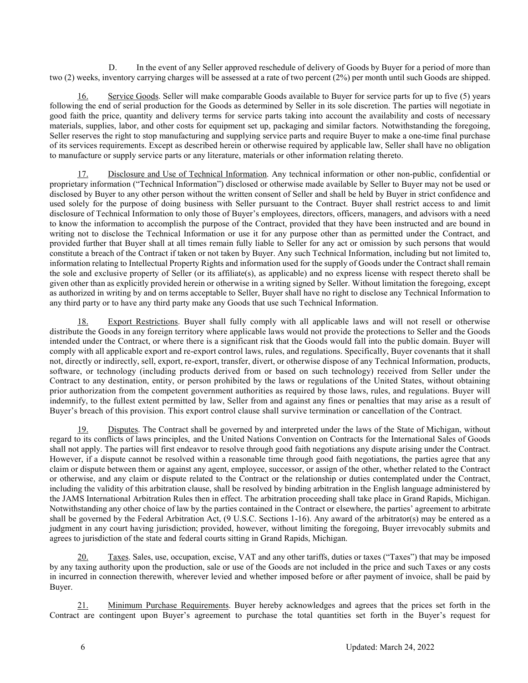D. In the event of any Seller approved reschedule of delivery of Goods by Buyer for a period of more than two (2) weeks, inventory carrying charges will be assessed at a rate of two percent (2%) per month until such Goods are shipped.

16. Service Goods. Seller will make comparable Goods available to Buyer for service parts for up to five (5) years following the end of serial production for the Goods as determined by Seller in its sole discretion. The parties will negotiate in good faith the price, quantity and delivery terms for service parts taking into account the availability and costs of necessary materials, supplies, labor, and other costs for equipment set up, packaging and similar factors. Notwithstanding the foregoing, Seller reserves the right to stop manufacturing and supplying service parts and require Buyer to make a one-time final purchase of its services requirements. Except as described herein or otherwise required by applicable law, Seller shall have no obligation to manufacture or supply service parts or any literature, materials or other information relating thereto.

17. Disclosure and Use of Technical Information. Any technical information or other non-public, confidential or proprietary information ("Technical Information") disclosed or otherwise made available by Seller to Buyer may not be used or disclosed by Buyer to any other person without the written consent of Seller and shall be held by Buyer in strict confidence and used solely for the purpose of doing business with Seller pursuant to the Contract. Buyer shall restrict access to and limit disclosure of Technical Information to only those of Buyer's employees, directors, officers, managers, and advisors with a need to know the information to accomplish the purpose of the Contract, provided that they have been instructed and are bound in writing not to disclose the Technical Information or use it for any purpose other than as permitted under the Contract, and provided further that Buyer shall at all times remain fully liable to Seller for any act or omission by such persons that would constitute a breach of the Contract if taken or not taken by Buyer. Any such Technical Information, including but not limited to, information relating to Intellectual Property Rights and information used for the supply of Goods under the Contract shall remain the sole and exclusive property of Seller (or its affiliate(s), as applicable) and no express license with respect thereto shall be given other than as explicitly provided herein or otherwise in a writing signed by Seller. Without limitation the foregoing, except as authorized in writing by and on terms acceptable to Seller, Buyer shall have no right to disclose any Technical Information to any third party or to have any third party make any Goods that use such Technical Information.

18. Export Restrictions. Buyer shall fully comply with all applicable laws and will not resell or otherwise distribute the Goods in any foreign territory where applicable laws would not provide the protections to Seller and the Goods intended under the Contract, or where there is a significant risk that the Goods would fall into the public domain. Buyer will comply with all applicable export and re-export control laws, rules, and regulations. Specifically, Buyer covenants that it shall not, directly or indirectly, sell, export, re-export, transfer, divert, or otherwise dispose of any Technical Information, products, software, or technology (including products derived from or based on such technology) received from Seller under the Contract to any destination, entity, or person prohibited by the laws or regulations of the United States, without obtaining prior authorization from the competent government authorities as required by those laws, rules, and regulations. Buyer will indemnify, to the fullest extent permitted by law, Seller from and against any fines or penalties that may arise as a result of Buyer's breach of this provision. This export control clause shall survive termination or cancellation of the Contract.

19. Disputes. The Contract shall be governed by and interpreted under the laws of the State of Michigan, without regard to its conflicts of laws principles, and the United Nations Convention on Contracts for the International Sales of Goods shall not apply. The parties will first endeavor to resolve through good faith negotiations any dispute arising under the Contract. However, if a dispute cannot be resolved within a reasonable time through good faith negotiations, the parties agree that any claim or dispute between them or against any agent, employee, successor, or assign of the other, whether related to the Contract or otherwise, and any claim or dispute related to the Contract or the relationship or duties contemplated under the Contract, including the validity of this arbitration clause, shall be resolved by binding arbitration in the English language administered by the JAMS International Arbitration Rules then in effect. The arbitration proceeding shall take place in Grand Rapids, Michigan. Notwithstanding any other choice of law by the parties contained in the Contract or elsewhere, the parties' agreement to arbitrate shall be governed by the Federal Arbitration Act, (9 U.S.C. Sections 1-16). Any award of the arbitrator(s) may be entered as a judgment in any court having jurisdiction; provided, however, without limiting the foregoing, Buyer irrevocably submits and agrees to jurisdiction of the state and federal courts sitting in Grand Rapids, Michigan.

20. Taxes. Sales, use, occupation, excise, VAT and any other tariffs, duties or taxes ("Taxes") that may be imposed by any taxing authority upon the production, sale or use of the Goods are not included in the price and such Taxes or any costs in incurred in connection therewith, wherever levied and whether imposed before or after payment of invoice, shall be paid by Buyer.

21. Minimum Purchase Requirements. Buyer hereby acknowledges and agrees that the prices set forth in the Contract are contingent upon Buyer's agreement to purchase the total quantities set forth in the Buyer's request for